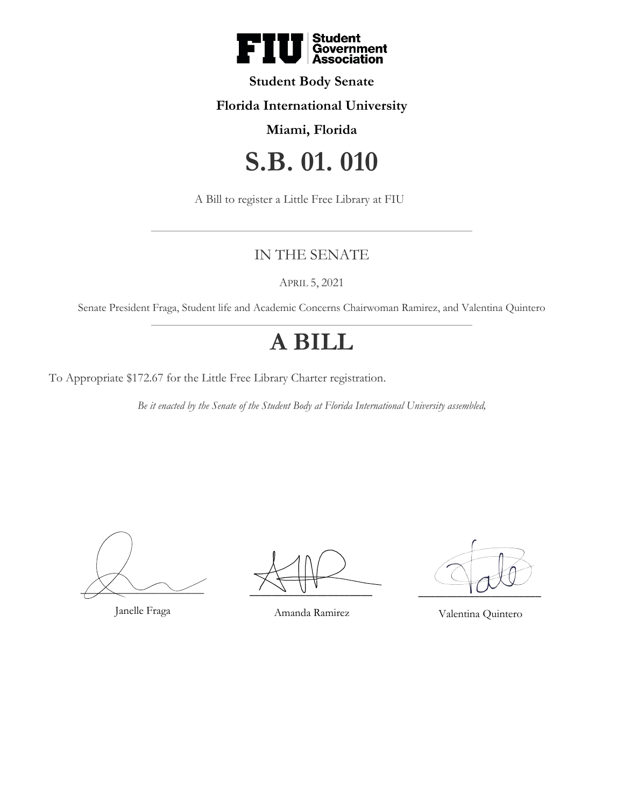

### **Student Body Senate**

### **Florida International University**

## **Miami, Florida**

# **S.B. 01. 010**

A Bill to register a Little Free Library at FIU

# IN THE SENATE

APRIL 5, 2021

Senate President Fraga, Student life and Academic Concerns Chairwoman Ramirez, and Valentina Quintero

# **A BILL**

To Appropriate \$172.67 for the Little Free Library Charter registration.

*Be it enacted by the Senate of the Student Body at Florida International University assembled,*

 $\overline{\phantom{a}}$ 

Janelle Fraga

 $\frac{1}{2}$   $\frac{1}{2}$   $\frac{1}{2}$   $\frac{1}{2}$   $\frac{1}{2}$   $\frac{1}{2}$ 

Amanda Ramirez

 $\overline{\phantom{a}1}$ 

Valentina Quintero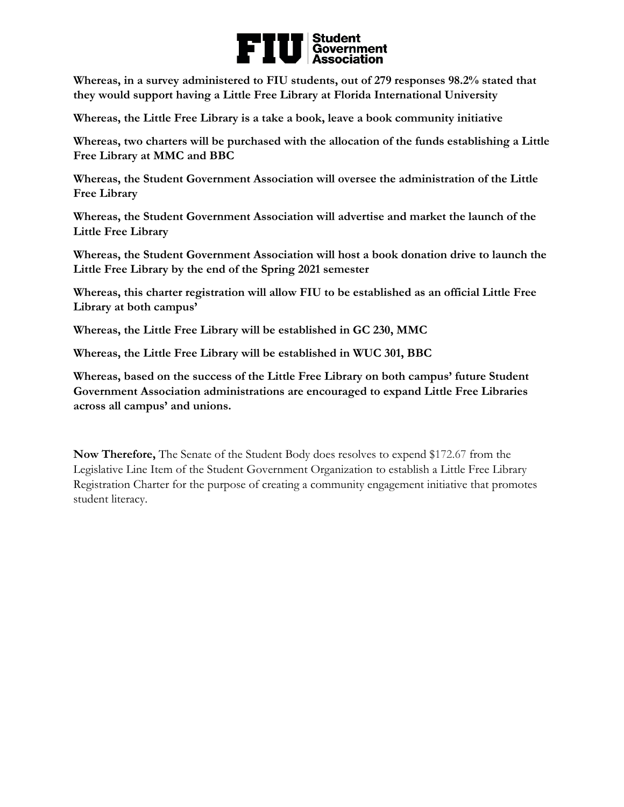# ■ Student<br>| Government<br>| Association FI

**Whereas, in a survey administered to FIU students, out of 279 responses 98.2% stated that they would support having a Little Free Library at Florida International University**

**Whereas, the Little Free Library is a take a book, leave a book community initiative**

**Whereas, two charters will be purchased with the allocation of the funds establishing a Little Free Library at MMC and BBC**

**Whereas, the Student Government Association will oversee the administration of the Little Free Library** 

**Whereas, the Student Government Association will advertise and market the launch of the Little Free Library**

**Whereas, the Student Government Association will host a book donation drive to launch the Little Free Library by the end of the Spring 2021 semester**

**Whereas, this charter registration will allow FIU to be established as an official Little Free Library at both campus'**

**Whereas, the Little Free Library will be established in GC 230, MMC**

**Whereas, the Little Free Library will be established in WUC 301, BBC**

**Whereas, based on the success of the Little Free Library on both campus' future Student Government Association administrations are encouraged to expand Little Free Libraries across all campus' and unions.** 

**Now Therefore,** The Senate of the Student Body does resolves to expend \$172.67 from the Legislative Line Item of the Student Government Organization to establish a Little Free Library Registration Charter for the purpose of creating a community engagement initiative that promotes student literacy.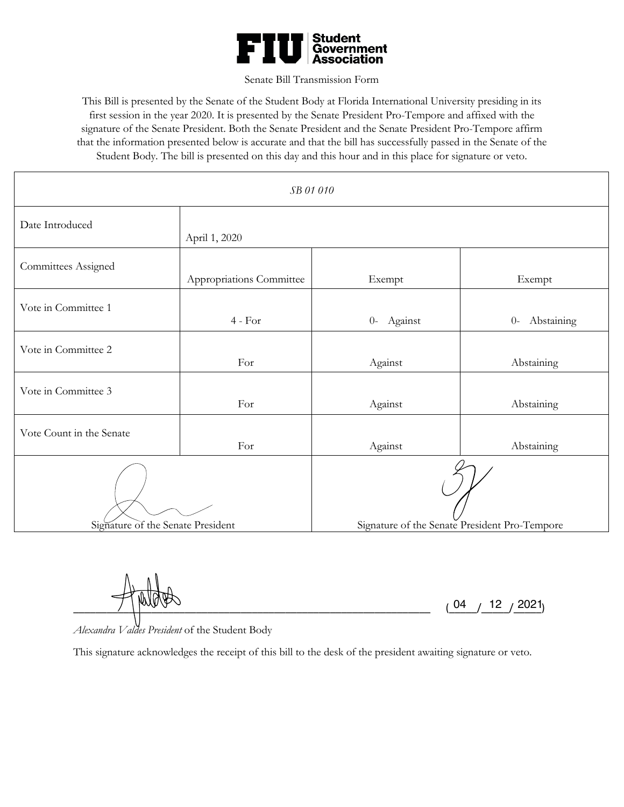

#### Senate Bill Transmission Form

This Bill is presented by the Senate of the Student Body at Florida International University presiding in its first session in the year 2020. It is presented by the Senate President Pro-Tempore and affixed with the signature of the Senate President. Both the Senate President and the Senate President Pro-Tempore affirm that the information presented below is accurate and that the bill has successfully passed in the Senate of the Student Body. The bill is presented on this day and this hour and in this place for signature or veto.

| SB 01 010                         |                          |                                               |                    |
|-----------------------------------|--------------------------|-----------------------------------------------|--------------------|
| Date Introduced                   | April 1, 2020            |                                               |                    |
| Committees Assigned               | Appropriations Committee | Exempt                                        | Exempt             |
| Vote in Committee 1               | $4 - For$                | $0-$<br>Against                               | Abstaining<br>$0-$ |
| Vote in Committee 2               | For                      | Against                                       | Abstaining         |
| Vote in Committee 3               | For                      | Against                                       | Abstaining         |
| Vote Count in the Senate          | For                      | Against                                       | Abstaining         |
| Signature of the Senate President |                          | Signature of the Senate President Pro-Tempore |                    |

 $\frac{1}{2}$   $\frac{1}{2}$   $\frac{1}{2}$   $\frac{1}{2}$   $\frac{1}{2}$   $\frac{1}{2}$   $\frac{1}{2}$   $\frac{1}{2}$   $\frac{1}{2}$   $\frac{1}{2}$   $\frac{1}{2}$   $\frac{1}{2}$   $\frac{1}{2}$   $\frac{1}{2}$   $\frac{1}{2}$   $\frac{1}{2}$   $\frac{1}{2}$   $\frac{1}{2}$   $\frac{1}{2}$   $\frac{1}{2}$   $\frac{1}{2}$   $\frac{1}{2}$  04  $/$  12  $/$  2021

*Alexandra Valdes President* of the Student Body

This signature acknowledges the receipt of this bill to the desk of the president awaiting signature or veto.